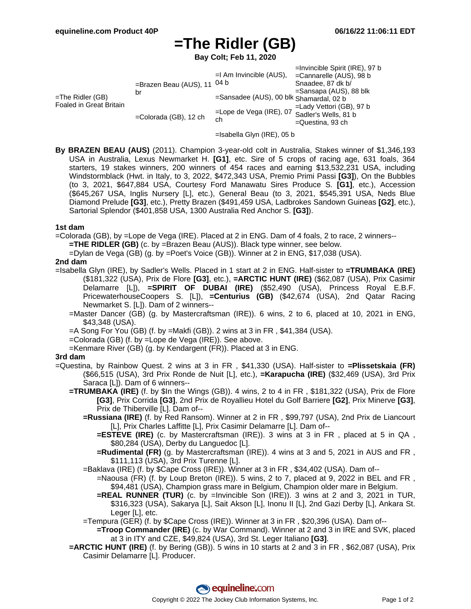# **=The Ridler (GB)**

**Bay Colt; Feb 11, 2020**

|                                             |                                              |                                         | $=$ Invincible Spirit (IRE), 97 b |
|---------------------------------------------|----------------------------------------------|-----------------------------------------|-----------------------------------|
|                                             |                                              | $=$ I Am Invincible (AUS),              | $=$ Cannarelle (AUS), 98 b        |
| =The Ridler (GB)<br>Foaled in Great Britain | =Brazen Beau (AUS), 11 <sup>04 b</sup><br>br |                                         | Snaadee, 87 dk b/                 |
|                                             |                                              | =Sansadee (AUS), 00 blk Shamardal, 02 b | =Sansapa (AUS), 88 blk            |
|                                             |                                              |                                         |                                   |
|                                             | $=$ Colorada (GB), 12 ch                     | $=$ Lope de Vega (IRE), 07<br>ch        | $=$ Lady Vettori (GB), 97 b       |
|                                             |                                              |                                         | Sadler's Wells, 81 b              |
|                                             |                                              |                                         | $=$ Questina, 93 ch               |

- =Isabella Glyn (IRE), 05 b
- **By BRAZEN BEAU (AUS)** (2011). Champion 3-year-old colt in Australia, Stakes winner of \$1,346,193 USA in Australia, Lexus Newmarket H. **[G1]**, etc. Sire of 5 crops of racing age, 631 foals, 364 starters, 19 stakes winners, 200 winners of 454 races and earning \$13,532,231 USA, including Windstormblack (Hwt. in Italy, to 3, 2022, \$472,343 USA, Premio Primi Passi **[G3]**), On the Bubbles (to 3, 2021, \$647,884 USA, Courtesy Ford Manawatu Sires Produce S. **[G1]**, etc.), Accession (\$645,267 USA, Inglis Nursery [L], etc.), General Beau (to 3, 2021, \$545,391 USA, Neds Blue Diamond Prelude **[G3]**, etc.), Pretty Brazen (\$491,459 USA, Ladbrokes Sandown Guineas **[G2]**, etc.), Sartorial Splendor (\$401,858 USA, 1300 Australia Red Anchor S. **[G3]**).

#### **1st dam**

=Colorada (GB), by =Lope de Vega (IRE). Placed at 2 in ENG. Dam of 4 foals, 2 to race, 2 winners--

**=THE RIDLER (GB)** (c. by =Brazen Beau (AUS)). Black type winner, see below.

=Dylan de Vega (GB) (g. by =Poet's Voice (GB)). Winner at 2 in ENG, \$17,038 (USA).

### **2nd dam**

- =Isabella Glyn (IRE), by Sadler's Wells. Placed in 1 start at 2 in ENG. Half-sister to **=TRUMBAKA (IRE)** (\$181,322 (USA), Prix de Flore **[G3]**, etc.), **=ARCTIC HUNT (IRE)** (\$62,087 (USA), Prix Casimir Delamarre [L]), **=SPIRIT OF DUBAI (IRE)** (\$52,490 (USA), Princess Royal E.B.F. PricewaterhouseCoopers S. [L]), **=Centurius (GB)** (\$42,674 (USA), 2nd Qatar Racing Newmarket S. [L]). Dam of 2 winners--
	- =Master Dancer (GB) (g. by Mastercraftsman (IRE)). 6 wins, 2 to 6, placed at 10, 2021 in ENG, \$43,348 (USA).
	- =A Song For You (GB) (f. by =Makfi (GB)). 2 wins at 3 in FR , \$41,384 (USA).
	- =Colorada (GB) (f. by =Lope de Vega (IRE)). See above.
	- =Kenmare River (GB) (g. by Kendargent (FR)). Placed at 3 in ENG.

#### **3rd dam**

- =Questina, by Rainbow Quest. 2 wins at 3 in FR , \$41,330 (USA). Half-sister to **=Plissetskaia (FR)** (\$66,515 (USA), 3rd Prix Ronde de Nuit [L], etc.), **=Karapucha (IRE)** (\$32,469 (USA), 3rd Prix Saraca [L]). Dam of 6 winners--
	- **=TRUMBAKA (IRE)** (f. by \$In the Wings (GB)). 4 wins, 2 to 4 in FR , \$181,322 (USA), Prix de Flore **[G3]**, Prix Corrida **[G3]**, 2nd Prix de Royallieu Hotel du Golf Barriere **[G2]**, Prix Minerve **[G3]**, Prix de Thiberville [L]. Dam of--
		- **=Russiana (IRE)** (f. by Red Ransom). Winner at 2 in FR , \$99,797 (USA), 2nd Prix de Liancourt [L], Prix Charles Laffitte [L], Prix Casimir Delamarre [L]. Dam of--
			- **=ESTEVE (IRE)** (c. by Mastercraftsman (IRE)). 3 wins at 3 in FR , placed at 5 in QA , \$80,284 (USA), Derby du Languedoc [L].
			- **=Rudimental (FR)** (g. by Mastercraftsman (IRE)). 4 wins at 3 and 5, 2021 in AUS and FR , \$111,113 (USA), 3rd Prix Turenne [L].
		- =Baklava (IRE) (f. by \$Cape Cross (IRE)). Winner at 3 in FR , \$34,402 (USA). Dam of--
			- =Naousa (FR) (f. by Loup Breton (IRE)). 5 wins, 2 to 7, placed at 9, 2022 in BEL and FR , \$94,481 (USA), Champion grass mare in Belgium, Champion older mare in Belgium.
			- **=REAL RUNNER (TUR)** (c. by =Invincible Son (IRE)). 3 wins at 2 and 3, 2021 in TUR, \$316,323 (USA), Sakarya [L], Sait Akson [L], Inonu II [L], 2nd Gazi Derby [L], Ankara St. Leger [L], etc.
		- =Tempura (GER) (f. by \$Cape Cross (IRE)). Winner at 3 in FR , \$20,396 (USA). Dam of--
			- **=Troop Commander (IRE)** (c. by War Command). Winner at 2 and 3 in IRE and SVK, placed at 3 in ITY and CZE, \$49,824 (USA), 3rd St. Leger Italiano **[G3]**.
	- **=ARCTIC HUNT (IRE)** (f. by Bering (GB)). 5 wins in 10 starts at 2 and 3 in FR , \$62,087 (USA), Prix Casimir Delamarre [L]. Producer.